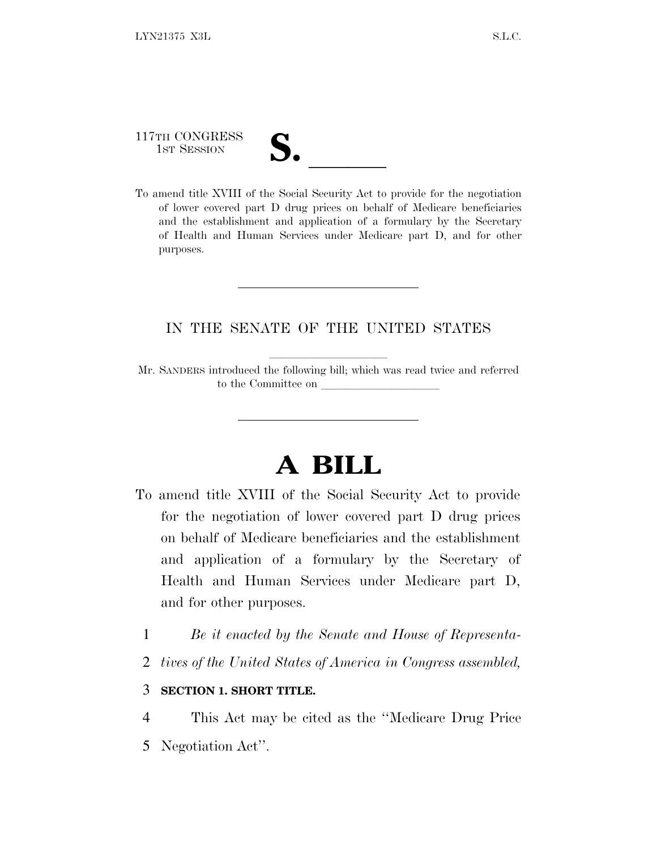117TH CONGRESS 117TH CONGRESS<br>
1ST SESSION<br>
To amend title XVIII of the Social Security Act to provide for the negotiation

of lower covered part D drug prices on behalf of Medicare beneficiaries and the establishment and application of a formulary by the Secretary of Health and Human Services under Medicare part D, and for other purposes.

## IN THE SENATE OF THE UNITED STATES

Mr. SANDERS introduced the following bill; which was read twice and referred to the Committee on

## **A BILL**

- To amend title XVIII of the Social Security Act to provide for the negotiation of lower covered part D drug prices on behalf of Medicare beneficiaries and the establishment and application of a formulary by the Secretary of Health and Human Services under Medicare part D, and for other purposes.
	- 1 *Be it enacted by the Senate and House of Representa-*
	- 2 *tives of the United States of America in Congress assembled,*

## 3 **SECTION 1. SHORT TITLE.**

- 4 This Act may be cited as the ''Medicare Drug Price
- 5 Negotiation Act''.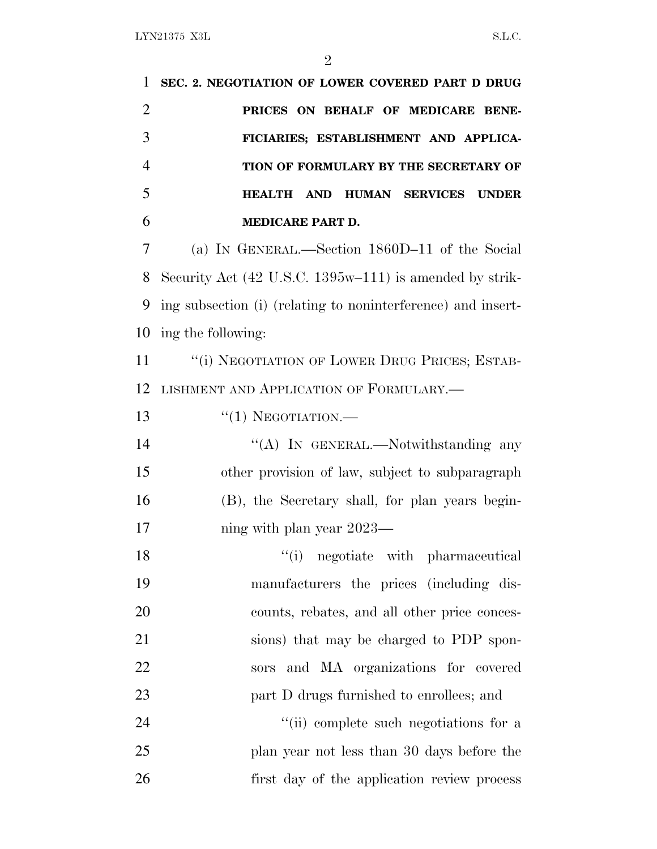**SEC. 2. NEGOTIATION OF LOWER COVERED PART D DRUG PRICES ON BEHALF OF MEDICARE BENE- FICIARIES; ESTABLISHMENT AND APPLICA- TION OF FORMULARY BY THE SECRETARY OF HEALTH AND HUMAN SERVICES UNDER MEDICARE PART D.** (a) I<sup>N</sup> GENERAL.—Section 1860D–11 of the Social Security Act (42 U.S.C. 1395w–111) is amended by strik- ing subsection (i) (relating to noninterference) and insert- ing the following: 11 "(i) NEGOTIATION OF LOWER DRUG PRICES; ESTAB- LISHMENT AND APPLICATION OF FORMULARY.—  $\frac{1}{1}$  NEGOTIATION. 14 "(A) In GENERAL.—Notwithstanding any other provision of law, subject to subparagraph (B), the Secretary shall, for plan years begin-17 ning with plan year 2023— 18 ''(i) negotiate with pharmaceutical

 manufacturers the prices (including dis- counts, rebates, and all other price conces- sions) that may be charged to PDP spon- sors and MA organizations for covered **part D** drugs furnished to enrollees; and 24 ''(ii) complete such negotiations for a plan year not less than 30 days before the first day of the application review process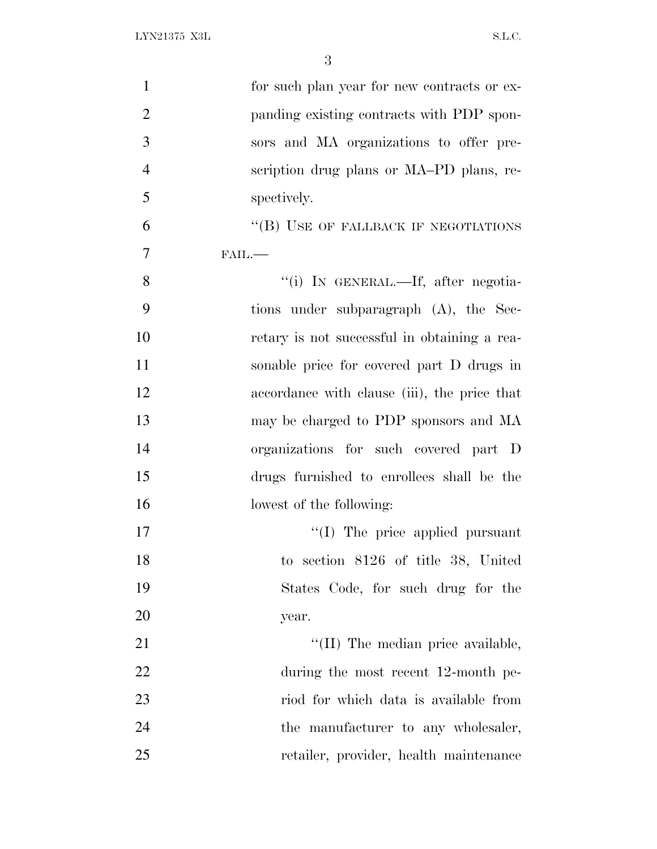| $\mathbf{1}$   | for such plan year for new contracts or ex-  |
|----------------|----------------------------------------------|
| $\overline{2}$ | panding existing contracts with PDP spon-    |
| 3              | sors and MA organizations to offer pre-      |
| $\overline{4}$ | scription drug plans or MA-PD plans, re-     |
| 5              | spectively.                                  |
| 6              | "(B) USE OF FALLBACK IF NEGOTIATIONS         |
| 7              | $FAIL$ .                                     |
| 8              | "(i) IN GENERAL.—If, after negotia-          |
| 9              | tions under subparagraph (A), the Sec-       |
| 10             | retary is not successful in obtaining a rea- |
| 11             | sonable price for covered part D drugs in    |
| 12             | accordance with clause (iii), the price that |
| 13             | may be charged to PDP sponsors and MA        |
| 14             | organizations for such covered part D        |
| 15             | drugs furnished to enrollees shall be the    |
| 16             | lowest of the following:                     |
| 17             | $\lq\lq$ (I) The price applied pursuant      |
| 18             | to section 8126 of title 38, United          |
| 19             | States Code, for such drug for the           |
| 20             | year.                                        |
| 21             | "(II) The median price available,            |
| 22             | during the most recent 12-month pe-          |
| 23             | riod for which data is available from        |
| 24             | the manufacturer to any wholesaler,          |
| 25             | retailer, provider, health maintenance       |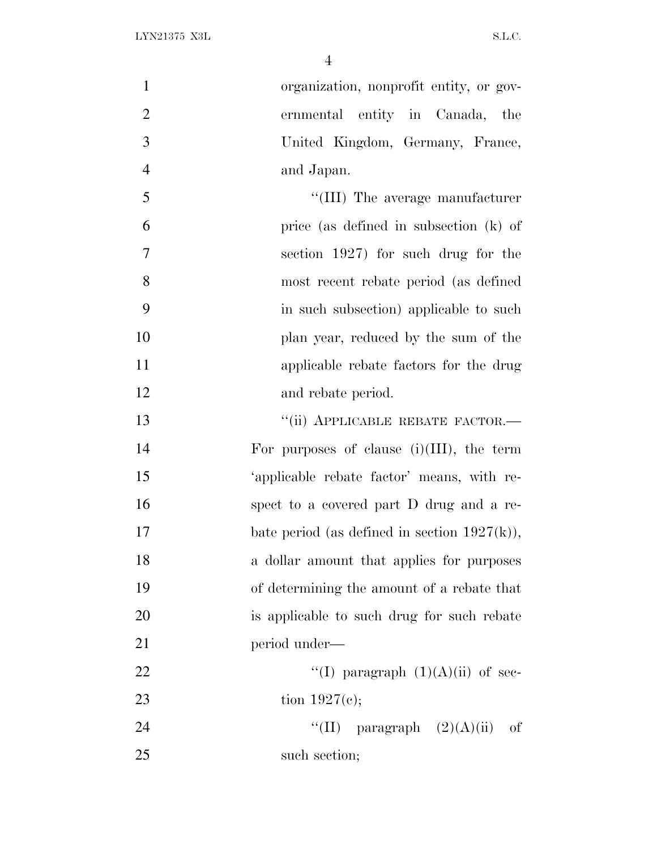| $\mathbf{1}$   | organization, nonprofit entity, or gov-         |
|----------------|-------------------------------------------------|
| $\overline{2}$ | ernmental entity in Canada, the                 |
| 3              | United Kingdom, Germany, France,                |
| $\overline{4}$ | and Japan.                                      |
| 5              | "(III) The average manufacturer                 |
| 6              | price (as defined in subsection (k) of          |
| $\overline{7}$ | section 1927) for such drug for the             |
| 8              | most recent rebate period (as defined           |
| 9              | in such subsection) applicable to such          |
| 10             | plan year, reduced by the sum of the            |
| 11             | applicable rebate factors for the drug          |
| 12             | and rebate period.                              |
| 13             | "(ii) APPLICABLE REBATE FACTOR.-                |
| 14             | For purposes of clause $(i)(III)$ , the term    |
| 15             | 'applicable rebate factor' means, with re-      |
| 16             | spect to a covered part D drug and a re-        |
| 17             | bate period (as defined in section $1927(k)$ ), |
| 18             | a dollar amount that applies for purposes       |
| 19             | of determining the amount of a rebate that      |
| 20             | is applicable to such drug for such rebate      |
| 21             | period under—                                   |
| 22             | "(I) paragraph $(1)(A)(ii)$ of sec-             |
| 23             | tion $1927(e)$ ;                                |
| 24             | ``(II)<br>paragraph $(2)(A)(ii)$<br>of          |
| 25             | such section;                                   |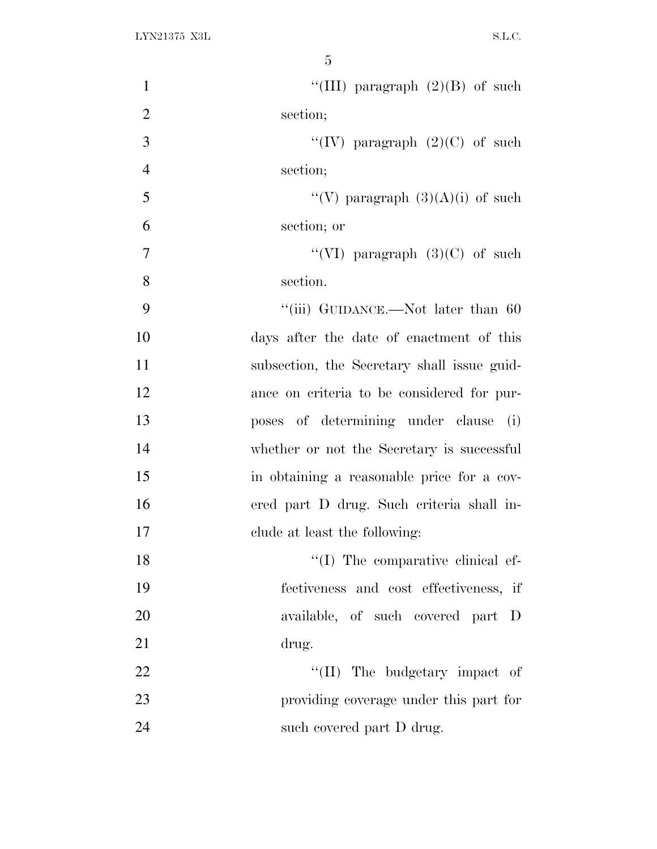| $\mathbf{1}$<br>"(III) paragraph $(2)(B)$ of such |
|---------------------------------------------------|
| $\overline{2}$<br>section;                        |
| "(IV) paragraph $(2)(C)$ of such<br>3             |
| $\overline{4}$<br>section;                        |
| "(V) paragraph $(3)(A)(i)$ of such<br>5           |
| 6<br>section; or                                  |
| $\tau$<br>"(VI) paragraph $(3)(C)$ of such        |
| 8<br>section.                                     |
| 9<br>"(iii) GUIDANCE.—Not later than 60           |
| 10<br>days after the date of enactment of this    |
| 11<br>subsection, the Secretary shall issue guid- |
| 12<br>ance on criteria to be considered for pur-  |
| 13<br>poses of determining under clause (i)       |
| 14<br>whether or not the Secretary is successful  |
| 15<br>in obtaining a reasonable price for a cov-  |
| 16<br>ered part D drug. Such criteria shall in-   |
| 17<br>clude at least the following:               |
| $\lq\lq$ (I) The comparative clinical ef-<br>18   |
| 19<br>fectiveness and cost effectiveness, if      |
| 20<br>available, of such covered part D           |
| 21<br>drug.                                       |
| 22<br>"(II) The budgetary impact of               |
| 23<br>providing coverage under this part for      |
| 24<br>such covered part D drug.                   |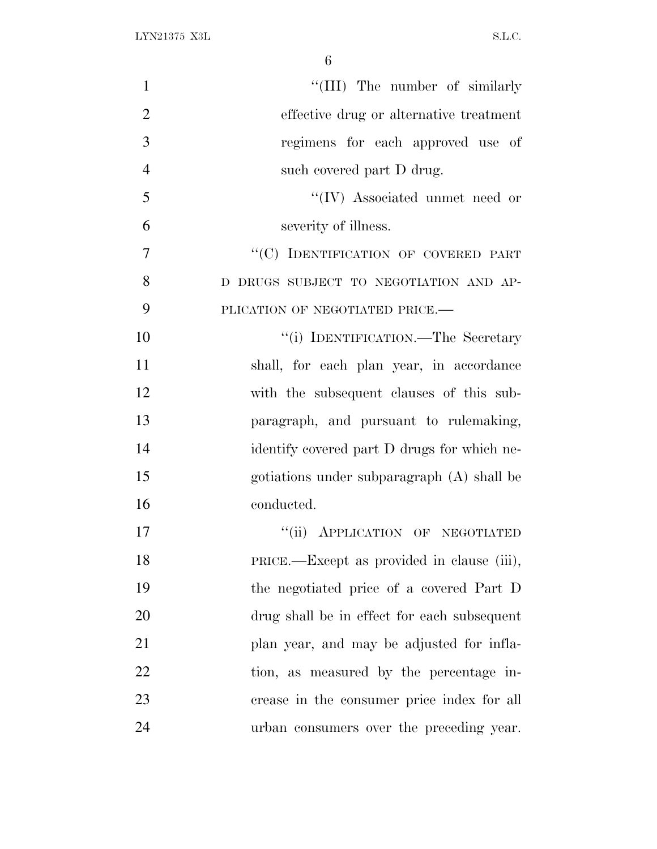| $\mathbf{1}$   | "(III) The number of similarly              |
|----------------|---------------------------------------------|
| $\overline{2}$ | effective drug or alternative treatment     |
| 3              | regimens for each approved use of           |
| $\overline{4}$ | such covered part D drug.                   |
| 5              | $``(IV)$ Associated unmet need or           |
| 6              | severity of illness.                        |
| $\overline{7}$ | "(C) IDENTIFICATION OF COVERED PART         |
| 8              | D DRUGS SUBJECT TO NEGOTIATION AND AP-      |
| 9              | PLICATION OF NEGOTIATED PRICE.-             |
| 10             | "(i) IDENTIFICATION.—The Secretary          |
| 11             | shall, for each plan year, in accordance    |
| 12             | with the subsequent clauses of this sub-    |
| 13             | paragraph, and pursuant to rulemaking,      |
| 14             | identify covered part D drugs for which ne- |
| 15             | gotiations under subparagraph (A) shall be  |
| 16             | conducted.                                  |
| 17             | "(ii) APPLICATION OF NEGOTIATED             |
| 18             | PRICE.—Except as provided in clause (iii),  |
| 19             | the negotiated price of a covered Part D    |
| 20             | drug shall be in effect for each subsequent |
| 21             | plan year, and may be adjusted for infla-   |
| 22             | tion, as measured by the percentage in-     |
| 23             | crease in the consumer price index for all  |
| 24             | urban consumers over the preceding year.    |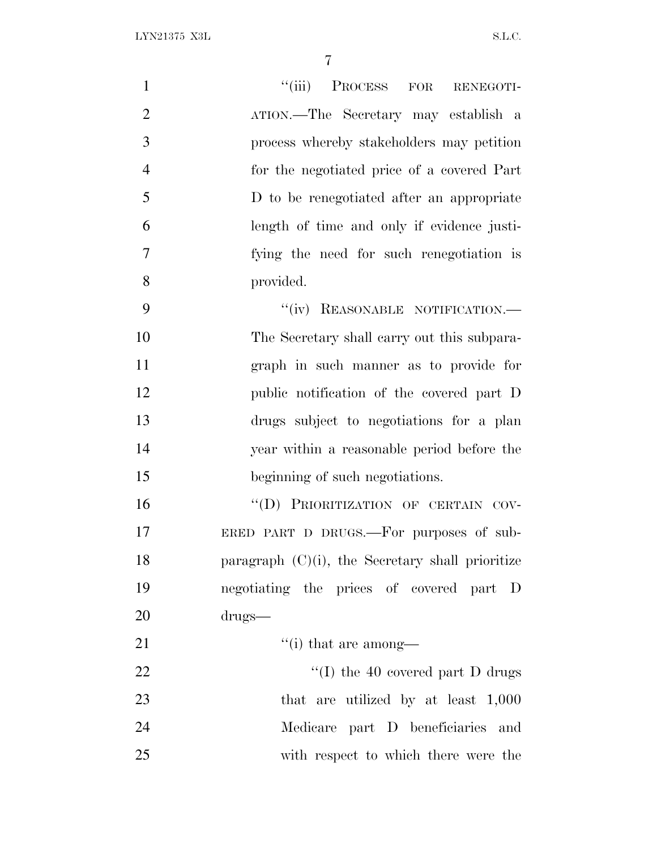| $\mathbf{1}$   | "(iii) PROCESS FOR RENEGOTI-                        |
|----------------|-----------------------------------------------------|
| $\overline{2}$ | ATION.—The Secretary may establish a                |
| 3              | process whereby stakeholders may petition           |
| $\overline{4}$ | for the negotiated price of a covered Part          |
| 5              | D to be renegotiated after an appropriate           |
| 6              | length of time and only if evidence justi-          |
| $\overline{7}$ | fying the need for such renegotiation is            |
| 8              | provided.                                           |
| 9              | "(iv) REASONABLE NOTIFICATION.-                     |
| 10             | The Secretary shall carry out this subpara-         |
| 11             | graph in such manner as to provide for              |
| 12             | public notification of the covered part D           |
| 13             | drugs subject to negotiations for a plan            |
| 14             | year within a reasonable period before the          |
| 15             | beginning of such negotiations.                     |
| 16             | "(D) PRIORITIZATION OF CERTAIN COV-                 |
| 17             | ERED PART D DRUGS.—For purposes of sub-             |
| 18             | paragraph $(C)(i)$ , the Secretary shall prioritize |
| 19             | negotiating the prices of covered part D            |
| 20             | drugs                                               |
| 21             | $f'(i)$ that are among—                             |
| 22             | "(I) the 40 covered part $D$ drugs                  |
| 23             | that are utilized by at least 1,000                 |
| 24             | Medicare part D beneficiaries and                   |
| 25             | with respect to which there were the                |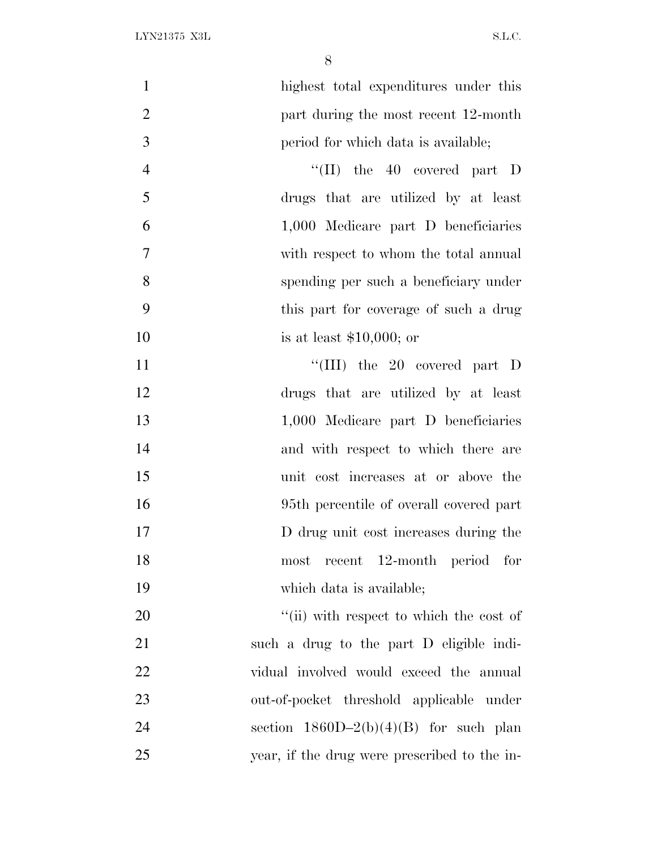| $\mathbf{1}$   | highest total expenditures under this        |
|----------------|----------------------------------------------|
| $\overline{2}$ | part during the most recent 12-month         |
| 3              | period for which data is available;          |
| $\overline{4}$ | "(II) the $40$ covered part D                |
| 5              | drugs that are utilized by at least          |
| 6              | 1,000 Medicare part D beneficiaries          |
| $\overline{7}$ | with respect to whom the total annual        |
| 8              | spending per such a beneficiary under        |
| 9              | this part for coverage of such a drug        |
| 10             | is at least $$10,000$ ; or                   |
| 11             | "(III) the $20$ covered part D               |
| 12             | drugs that are utilized by at least          |
| 13             | 1,000 Medicare part D beneficiaries          |
| 14             | and with respect to which there are          |
| 15             | unit cost increases at or above the          |
| 16             | 95th percentile of overall covered part      |
| 17             | D drug unit cost increases during the        |
| 18             | most recent 12-month period for              |
| 19             | which data is available;                     |
| 20             | "(ii) with respect to which the cost of      |
| 21             | such a drug to the part D eligible indi-     |
| 22             | vidual involved would exceed the annual      |
| 23             | out-of-pocket threshold applicable under     |
| 24             | section $1860D-2(b)(4)(B)$ for such plan     |
| 25             | year, if the drug were prescribed to the in- |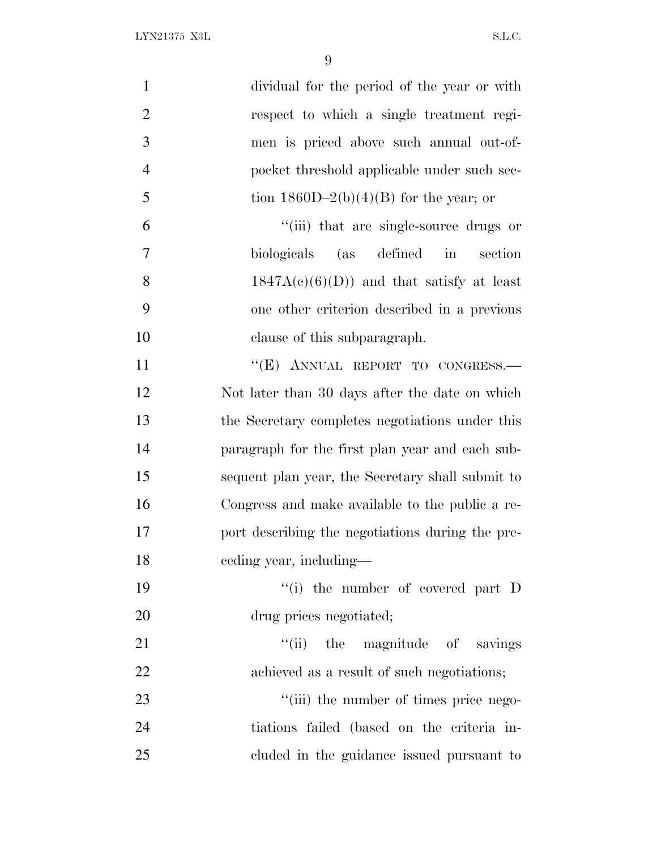| $\mathbf{1}$   | dividual for the period of the year or with      |
|----------------|--------------------------------------------------|
| $\overline{2}$ | respect to which a single treatment regi-        |
| 3              | men is priced above such annual out-of-          |
| $\overline{4}$ | pocket threshold applicable under such sec-      |
| 5              | tion $1860D-2(b)(4)(B)$ for the year; or         |
| 6              | "(iii) that are single-source drugs or           |
| $\overline{7}$ | biologicals (as defined in<br>section            |
| 8              | $1847A(c)(6)(D)$ and that satisfy at least       |
| 9              | one other criterion described in a previous      |
| 10             | clause of this subparagraph.                     |
| 11             | "(E) ANNUAL REPORT TO CONGRESS.-                 |
| 12             | Not later than 30 days after the date on which   |
| 13             | the Secretary completes negotiations under this  |
| 14             | paragraph for the first plan year and each sub-  |
| 15             | sequent plan year, the Secretary shall submit to |
| 16             | Congress and make available to the public a re-  |
| 17             | port describing the negotiations during the pre- |
| 18             | eeding year, including—                          |
| 19             | $f(i)$ the number of covered part D              |
| 20             | drug prices negotiated;                          |
| 21             | "(ii) the magnitude of savings                   |
| 22             | achieved as a result of such negotiations;       |
| 23             | "(iii) the number of times price nego-           |
| 24             | tiations failed (based on the criteria in-       |
| 25             | cluded in the guidance issued pursuant to        |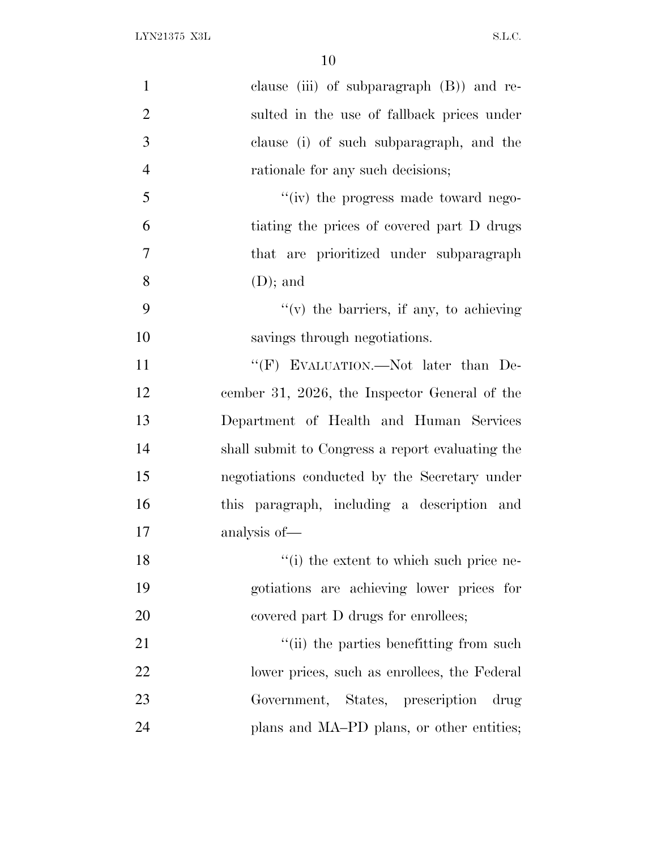| $\mathbf{1}$   | clause (iii) of subparagraph (B)) and re-        |
|----------------|--------------------------------------------------|
| $\overline{2}$ | sulted in the use of fallback prices under       |
| 3              | clause (i) of such subparagraph, and the         |
| $\overline{4}$ | rationale for any such decisions;                |
| 5              | "(iv) the progress made toward nego-             |
| 6              | tiating the prices of covered part D drugs       |
| 7              | that are prioritized under subparagraph          |
| 8              | $(D)$ ; and                                      |
| 9              | $f'(v)$ the barriers, if any, to achieving       |
| 10             | savings through negotiations.                    |
| 11             | "(F) EVALUATION.—Not later than De-              |
| 12             | cember 31, 2026, the Inspector General of the    |
| 13             | Department of Health and Human Services          |
| 14             | shall submit to Congress a report evaluating the |
| 15             | negotiations conducted by the Secretary under    |
| 16             | this paragraph, including a description and      |
| 17             | analysis of—                                     |
| 18             | "(i) the extent to which such price ne-          |
| 19             | gotiations are achieving lower prices for        |
| 20             | covered part D drugs for enrollees;              |
| 21             | "(ii) the parties benefitting from such          |
| 22             | lower prices, such as enrollees, the Federal     |
| 23             | Government, States, prescription drug            |
| 24             | plans and MA-PD plans, or other entities;        |
|                |                                                  |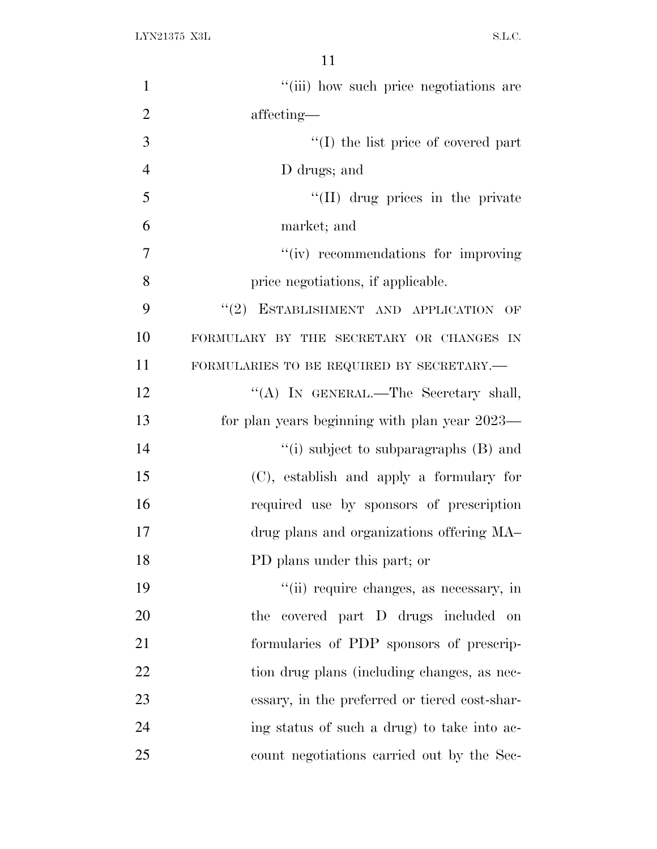| $\mathbf{1}$   | "(iii) how such price negotiations are        |
|----------------|-----------------------------------------------|
| $\overline{2}$ | affecting—                                    |
| 3              | $\lq\lq$ (I) the list price of covered part   |
| $\overline{4}$ | D drugs; and                                  |
| 5              | "(II) drug prices in the private              |
| 6              | market; and                                   |
| 7              | "(iv) recommendations for improving           |
| 8              | price negotiations, if applicable.            |
| 9              | "(2) ESTABLISHMENT AND APPLICATION OF         |
| 10             | FORMULARY BY THE SECRETARY OR CHANGES IN      |
| 11             | FORMULARIES TO BE REQUIRED BY SECRETARY.      |
| 12             | "(A) IN GENERAL.-The Secretary shall,         |
| 13             | for plan years beginning with plan year 2023— |
| 14             | "(i) subject to subparagraphs (B) and         |
| 15             | (C), establish and apply a formulary for      |
| 16             | required use by sponsors of prescription      |
| 17             | drug plans and organizations offering MA-     |
| 18             | PD plans under this part; or                  |
| 19             | "(ii) require changes, as necessary, in       |
| 20             | covered part D drugs included on<br>the       |
| 21             | formularies of PDP sponsors of prescrip-      |
| 22             | tion drug plans (including changes, as nec-   |
| 23             | essary, in the preferred or tiered cost-shar- |
| 24             | ing status of such a drug) to take into ac-   |
| 25             | count negotiations carried out by the Sec-    |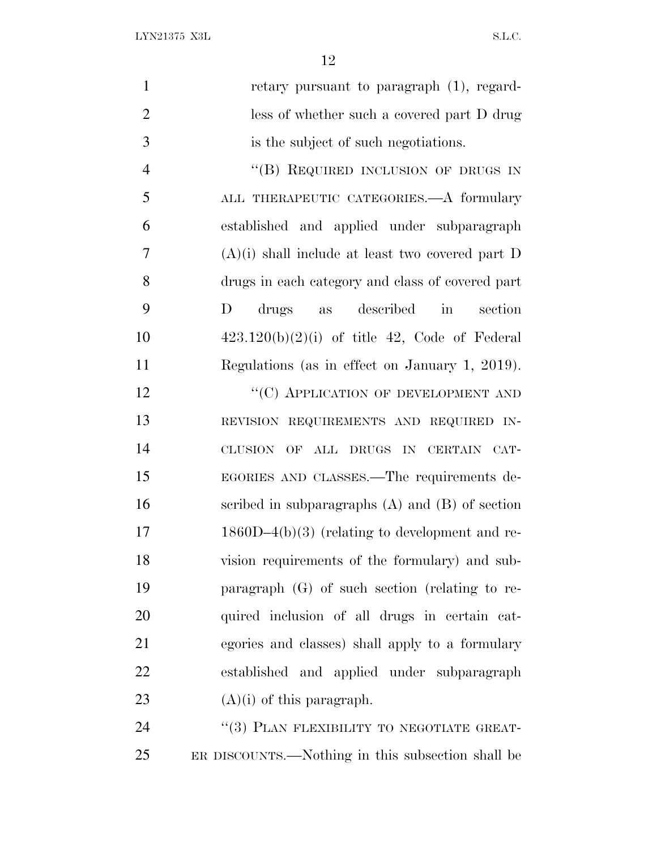$\begin{minipage}{0.9\linewidth} \textbf{LYN21375 X3L} \end{minipage}$ 

| $\mathbf{1}$   | retary pursuant to paragraph $(1)$ , regard-        |
|----------------|-----------------------------------------------------|
| $\overline{2}$ | less of whether such a covered part D drug          |
| 3              | is the subject of such negotiations.                |
| $\overline{4}$ | "(B) REQUIRED INCLUSION OF DRUGS IN                 |
| 5              | ALL THERAPEUTIC CATEGORIES. A formulary             |
| 6              | established and applied under subparagraph          |
| 7              | $(A)(i)$ shall include at least two covered part D  |
| 8              | drugs in each category and class of covered part    |
| 9              | described<br>D<br>drugs<br>section<br>$\sin$<br>as  |
| 10             | $423.120(b)(2)(i)$ of title 42, Code of Federal     |
| 11             | Regulations (as in effect on January 1, 2019).      |
| 12             | "(C) APPLICATION OF DEVELOPMENT AND                 |
| 13             | REVISION REQUIREMENTS AND REQUIRED IN-              |
| 14             | CLUSION OF ALL DRUGS IN CERTAIN CAT-                |
| 15             | EGORIES AND CLASSES.—The requirements de-           |
| 16             | scribed in subparagraphs $(A)$ and $(B)$ of section |
| 17             | $1860D-4(b)(3)$ (relating to development and re-    |
| 18             | vision requirements of the formulary) and sub-      |
| 19             | paragraph $(G)$ of such section (relating to re-    |
| 20             | quired inclusion of all drugs in certain cat-       |
| 21             | egories and classes) shall apply to a formulary     |
| 22             | established and applied under subparagraph          |
| 23             | $(A)(i)$ of this paragraph.                         |
| 24             | "(3) PLAN FLEXIBILITY TO NEGOTIATE GREAT-           |
| 25             | ER DISCOUNTS.—Nothing in this subsection shall be   |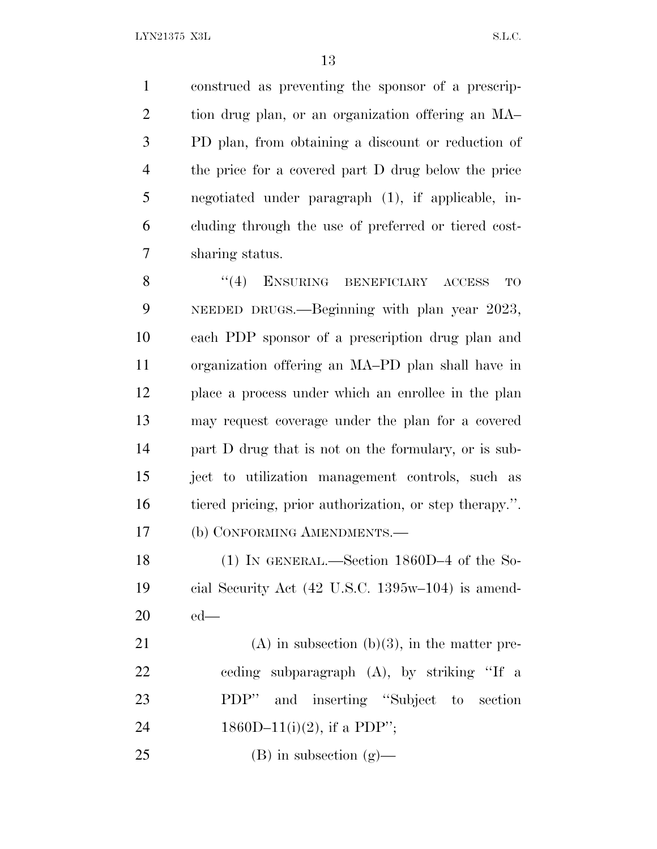construed as preventing the sponsor of a prescrip- tion drug plan, or an organization offering an MA– PD plan, from obtaining a discount or reduction of the price for a covered part D drug below the price negotiated under paragraph (1), if applicable, in- cluding through the use of preferred or tiered cost-sharing status.

8 "(4) ENSURING BENEFICIARY ACCESS TO NEEDED DRUGS.—Beginning with plan year 2023, each PDP sponsor of a prescription drug plan and organization offering an MA–PD plan shall have in place a process under which an enrollee in the plan may request coverage under the plan for a covered part D drug that is not on the formulary, or is sub- ject to utilization management controls, such as tiered pricing, prior authorization, or step therapy.''. (b) CONFORMING AMENDMENTS.—

 (1) IN GENERAL.—Section 1860D–4 of the So- cial Security Act (42 U.S.C. 1395w–104) is amend-ed—

21 (A) in subsection  $(b)(3)$ , in the matter pre- ceding subparagraph (A), by striking ''If a PDP'' and inserting ''Subject to section 24 1860D–11(i)(2), if a PDP";

25 (B) in subsection  $(g)$ —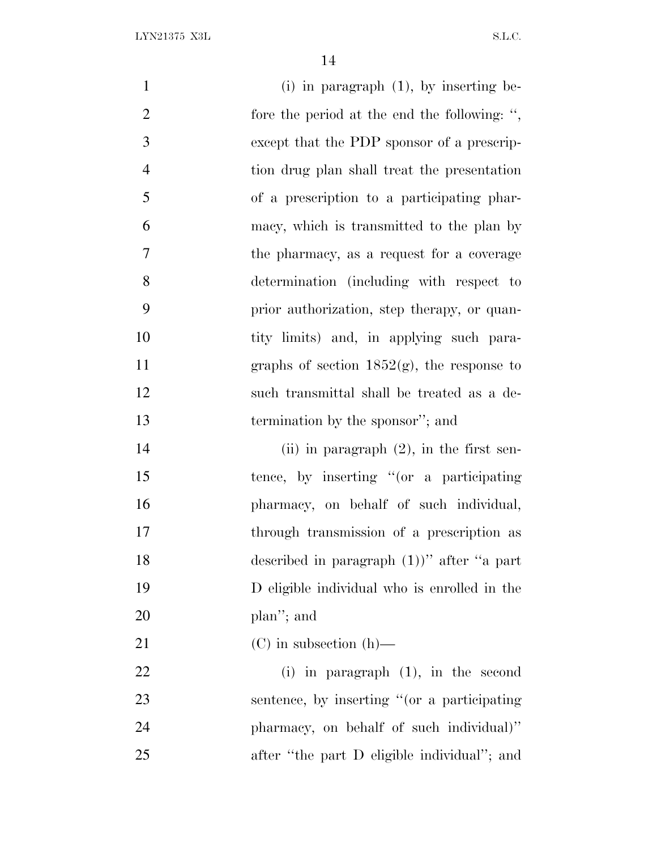| $\mathbf{1}$   | $(i)$ in paragraph $(1)$ , by inserting be-   |
|----------------|-----------------------------------------------|
| $\overline{2}$ | fore the period at the end the following: ",  |
| 3              | except that the PDP sponsor of a prescrip-    |
| $\overline{4}$ | tion drug plan shall treat the presentation   |
| 5              | of a prescription to a participating phar-    |
| 6              | macy, which is transmitted to the plan by     |
| $\overline{7}$ | the pharmacy, as a request for a coverage     |
| 8              | determination (including with respect to      |
| 9              | prior authorization, step therapy, or quan-   |
| 10             | tity limits) and, in applying such para-      |
| 11             | graphs of section $1852(g)$ , the response to |
| 12             | such transmittal shall be treated as a de-    |
| 13             | termination by the sponsor"; and              |
| 14             | (ii) in paragraph $(2)$ , in the first sen-   |
| 15             | tence, by inserting "(or a participating      |
| 16             | pharmacy, on behalf of such individual,       |
| 17             | through transmission of a prescription as     |
| 18             | described in paragraph $(1)$ " after "a part  |
| 19             | D eligible individual who is enrolled in the  |
| 20             | plan"; and                                    |
| 21             | $(C)$ in subsection $(h)$ —                   |
| 22             | (i) in paragraph $(1)$ , in the second        |
| 23             | sentence, by inserting "(or a participating   |
| 24             | pharmacy, on behalf of such individual)"      |

after ''the part D eligible individual''; and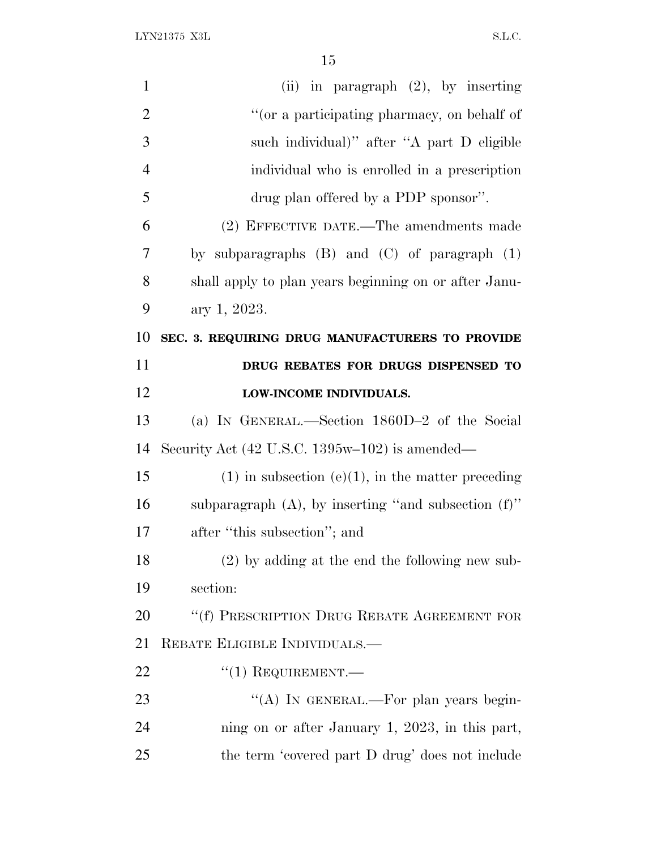| $\mathbf{1}$ | (ii) in paragraph $(2)$ , by inserting                           |
|--------------|------------------------------------------------------------------|
| 2            | "(or a participating pharmacy, on behalf of                      |
| 3            | such individual)" after "A part D eligible                       |
| 4            | individual who is enrolled in a prescription                     |
| 5            | drug plan offered by a PDP sponsor".                             |
| 6            | (2) EFFECTIVE DATE.—The amendments made                          |
| 7            | by subparagraphs $(B)$ and $(C)$ of paragraph $(1)$              |
| 8            | shall apply to plan years beginning on or after Janu-            |
| 9            | ary 1, 2023.                                                     |
| 10           | SEC. 3. REQUIRING DRUG MANUFACTURERS TO PROVIDE                  |
| 11           | DRUG REBATES FOR DRUGS DISPENSED TO                              |
| 12           | LOW-INCOME INDIVIDUALS.                                          |
| 13           | (a) IN GENERAL.—Section 1860D-2 of the Social                    |
| 14           | Security Act $(42 \text{ U.S.C. } 1395\text{w}-102)$ is amended— |
| 15           | $(1)$ in subsection $(e)(1)$ , in the matter preceding           |
| 16           | subparagraph $(A)$ , by inserting "and subsection $(f)$ "        |
| 17           | after "this subsection"; and                                     |
| 18           | $(2)$ by adding at the end the following new sub-                |
| 19           | section:                                                         |
| 20           | "(f) PRESCRIPTION DRUG REBATE AGREEMENT FOR                      |
| 21           | REBATE ELIGIBLE INDIVIDUALS.—                                    |
| 22           | $``(1)$ REQUIREMENT.—                                            |
| 23           | "(A) IN GENERAL.—For plan years begin-                           |
| 24           | ning on or after January 1, 2023, in this part,                  |
| 25           | the term 'covered part D drug' does not include                  |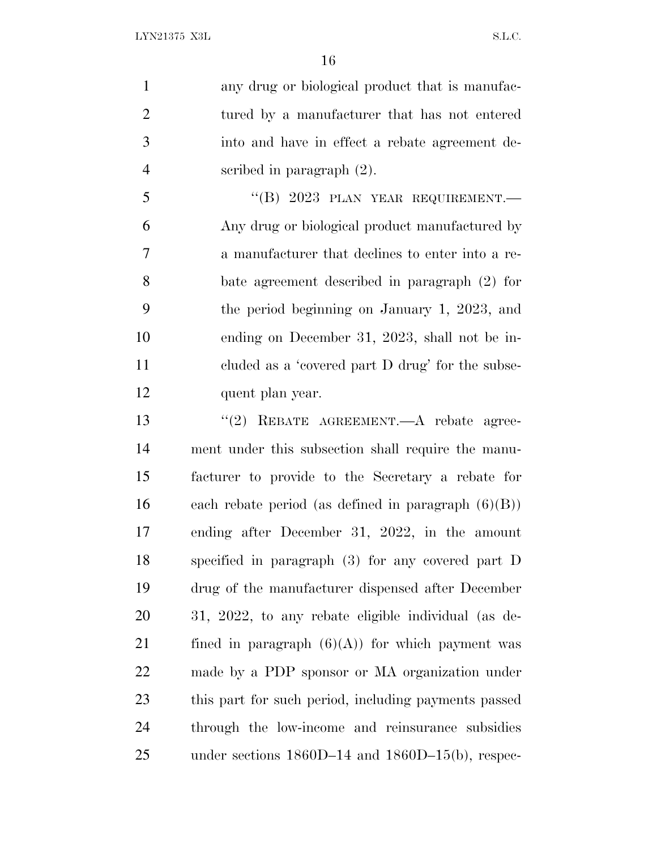any drug or biological product that is manufac- tured by a manufacturer that has not entered into and have in effect a rebate agreement de-scribed in paragraph (2).

 "(B)  $2023$  PLAN YEAR REQUIREMENT. Any drug or biological product manufactured by a manufacturer that declines to enter into a re- bate agreement described in paragraph (2) for the period beginning on January 1, 2023, and ending on December 31, 2023, shall not be in- cluded as a 'covered part D drug' for the subse-quent plan year.

13 "(2) REBATE AGREEMENT.—A rebate agree- ment under this subsection shall require the manu- facturer to provide to the Secretary a rebate for 16 each rebate period (as defined in paragraph  $(6)(B)$ ) ending after December 31, 2022, in the amount specified in paragraph (3) for any covered part D drug of the manufacturer dispensed after December 31, 2022, to any rebate eligible individual (as de-21 fined in paragraph  $(6)(A)$  for which payment was made by a PDP sponsor or MA organization under this part for such period, including payments passed through the low-income and reinsurance subsidies under sections 1860D–14 and 1860D–15(b), respec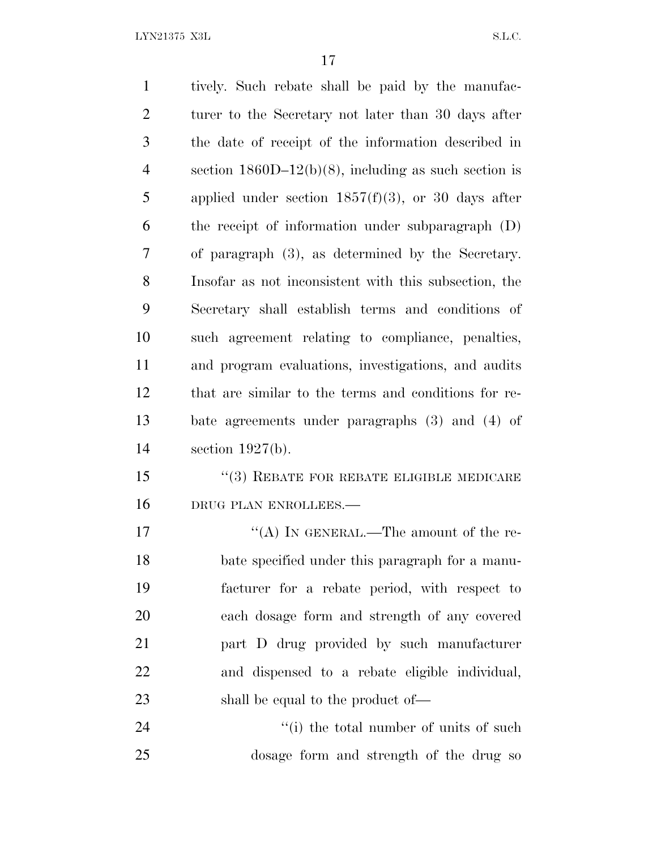$\begin{minipage}{0.9\linewidth} \textbf{LYN21375 X3L} \end{minipage}$ 

| $\mathbf{1}$   | tively. Such rebate shall be paid by the manufac-       |
|----------------|---------------------------------------------------------|
| $\overline{2}$ | turer to the Secretary not later than 30 days after     |
| 3              | the date of receipt of the information described in     |
| $\overline{4}$ | section $1860D-12(b)(8)$ , including as such section is |
| 5              | applied under section $1857(f)(3)$ , or 30 days after   |
| 6              | the receipt of information under subparagraph (D)       |
| 7              | of paragraph (3), as determined by the Secretary.       |
| 8              | Insofar as not inconsistent with this subsection, the   |
| 9              | Secretary shall establish terms and conditions of       |
| 10             | such agreement relating to compliance, penalties,       |
| 11             | and program evaluations, investigations, and audits     |
| 12             | that are similar to the terms and conditions for re-    |
| 13             | bate agreements under paragraphs (3) and (4) of         |
| 14             | section $1927(b)$ .                                     |
| 15             | $``(3)$ REBATE FOR REBATE ELIGIBLE MEDICARE             |
| 16             | DRUG PLAN ENROLLEES.-                                   |
| 17             | "(A) IN GENERAL.—The amount of the re-                  |
| 18             | bate specified under this paragraph for a manu-         |
| 19             | facturer for a rebate period, with respect to           |
| 20             | each dosage form and strength of any covered            |
| 21             | part D drug provided by such manufacturer               |
| 22             | and dispensed to a rebate eligible individual,          |
| 23             | shall be equal to the product of—                       |
| 24             | "(i) the total number of units of such                  |
| 25             | dosage form and strength of the drug so                 |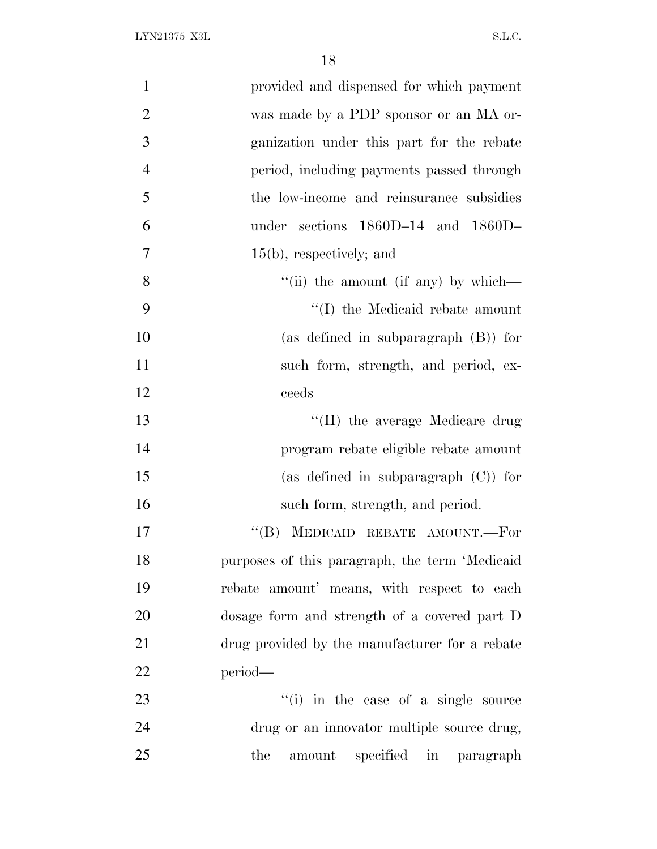| provided and dispensed for which payment       | $\mathbf{1}$   |
|------------------------------------------------|----------------|
| was made by a PDP sponsor or an MA or-         | $\overline{2}$ |
| ganization under this part for the rebate      | 3              |
| period, including payments passed through      | $\overline{4}$ |
| the low-income and reinsurance subsidies       | 5              |
| under sections 1860D-14 and 1860D-             | 6              |
| $15(b)$ , respectively; and                    | $\tau$         |
| "(ii) the amount (if any) by which—            | 8              |
| "(I) the Medicaid rebate amount                | 9              |
| (as defined in subparagraph $(B)$ ) for        | 10             |
| such form, strength, and period, ex-           | 11             |
| ceeds                                          | 12             |
| "(II) the average Medicare drug                | 13             |
| program rebate eligible rebate amount          | 14             |
| (as defined in subparagraph $(C)$ ) for        | 15             |
| such form, strength, and period.               | 16             |
| MEDICAID REBATE AMOUNT.-For<br>$\lq\lq (B)$    | 17             |
| purposes of this paragraph, the term 'Medicaid | 18             |
| rebate amount' means, with respect to each     | 19             |
| dosage form and strength of a covered part D   | 20             |
| drug provided by the manufacturer for a rebate | 21             |
| period—                                        | 22             |
| "(i) in the case of a single source            | 23             |
| drug or an innovator multiple source drug,     | 24             |
| amount specified in paragraph<br>the           | 25             |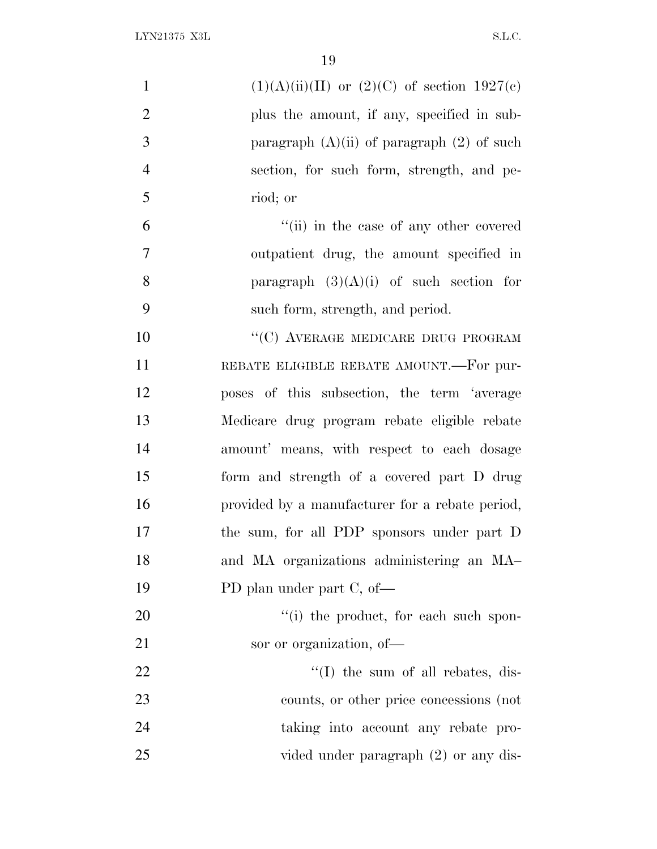| $\mathbf{1}$   | $(1)(A)(ii)(II)$ or $(2)(C)$ of section $1927(c)$ |
|----------------|---------------------------------------------------|
| $\mathbf{2}$   | plus the amount, if any, specified in sub-        |
| 3              | paragraph $(A)(ii)$ of paragraph $(2)$ of such    |
| $\overline{4}$ | section, for such form, strength, and pe-         |
| 5              | riod; or                                          |
| 6              | "(ii) in the case of any other covered            |
| $\tau$         | outpatient drug, the amount specified in          |
| 8              | paragraph $(3)(A)(i)$ of such section for         |
| 9              | such form, strength, and period.                  |
| 10             | "(C) AVERAGE MEDICARE DRUG PROGRAM                |
| 11             | REBATE ELIGIBLE REBATE AMOUNT.-For pur-           |
| 12             | poses of this subsection, the term 'average       |
| 13             | Medicare drug program rebate eligible rebate      |
| 14             | amount' means, with respect to each dosage        |
| 15             | form and strength of a covered part D drug        |
| 16             | provided by a manufacturer for a rebate period,   |
| 17             | the sum, for all PDP sponsors under part D        |
| 18             | and MA organizations administering an MA          |
| 19             | PD plan under part C, of-                         |
| 20             | "(i) the product, for each such spon-             |
| 21             | sor or organization, of-                          |
| 22             | $\lq\lq$ (I) the sum of all rebates, dis-         |
| 23             | counts, or other price concessions (not           |
| 24             | taking into account any rebate pro-               |
| 25             | vided under paragraph (2) or any dis-             |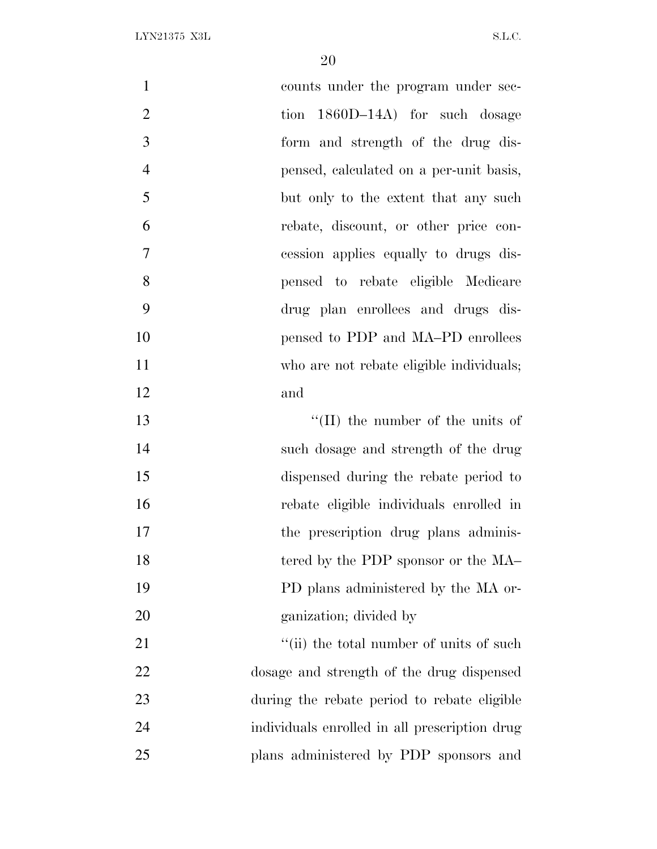| $\mathbf{1}$   | counts under the program under sec-           |
|----------------|-----------------------------------------------|
| $\overline{2}$ | tion 1860D-14A) for such dosage               |
| 3              | form and strength of the drug dis-            |
| $\overline{4}$ | pensed, calculated on a per-unit basis,       |
| 5              | but only to the extent that any such          |
| 6              | rebate, discount, or other price con-         |
| $\overline{7}$ | cession applies equally to drugs dis-         |
| 8              | pensed to rebate eligible Medicare            |
| 9              | drug plan enrollees and drugs dis-            |
| 10             | pensed to PDP and MA-PD enrollees             |
| 11             | who are not rebate eligible individuals;      |
| 12             | and                                           |
| 13             | $\lq\lq$ (II) the number of the units of      |
| 14             | such dosage and strength of the drug          |
| 15             | dispensed during the rebate period to         |
| 16             | rebate eligible individuals enrolled in       |
| 17             | the prescription drug plans adminis-          |
| 18             | tered by the PDP sponsor or the MA            |
| 19             | PD plans administered by the MA or-           |
| 20             | ganization; divided by                        |
| 21             | "(ii) the total number of units of such       |
| 22             | dosage and strength of the drug dispensed     |
| 23             | during the rebate period to rebate eligible   |
| 24             | individuals enrolled in all prescription drug |
| 25             | plans administered by PDP sponsors and        |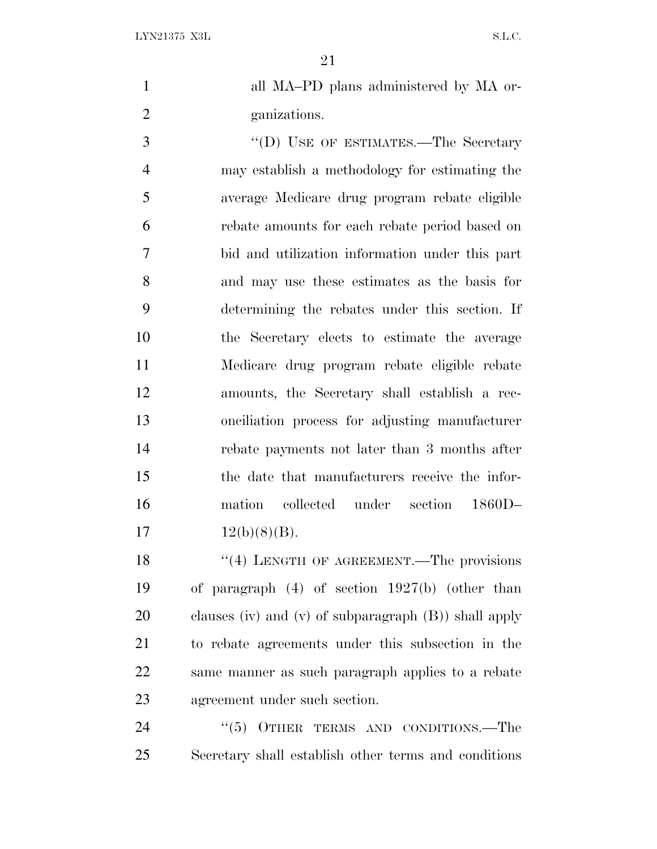all MA–PD plans administered by MA or-ganizations.

3 "<sup>'</sup>(D) USE OF ESTIMATES.—The Secretary may establish a methodology for estimating the average Medicare drug program rebate eligible rebate amounts for each rebate period based on bid and utilization information under this part and may use these estimates as the basis for determining the rebates under this section. If the Secretary elects to estimate the average Medicare drug program rebate eligible rebate amounts, the Secretary shall establish a rec- onciliation process for adjusting manufacturer rebate payments not later than 3 months after the date that manufacturers receive the infor- mation collected under section 1860D–  $12(b)(8)(B)$ .

18 "(4) LENGTH OF AGREEMENT.—The provisions of paragraph (4) of section 1927(b) (other than clauses (iv) and (v) of subparagraph (B)) shall apply to rebate agreements under this subsection in the same manner as such paragraph applies to a rebate agreement under such section.

24 "(5) OTHER TERMS AND CONDITIONS.—The Secretary shall establish other terms and conditions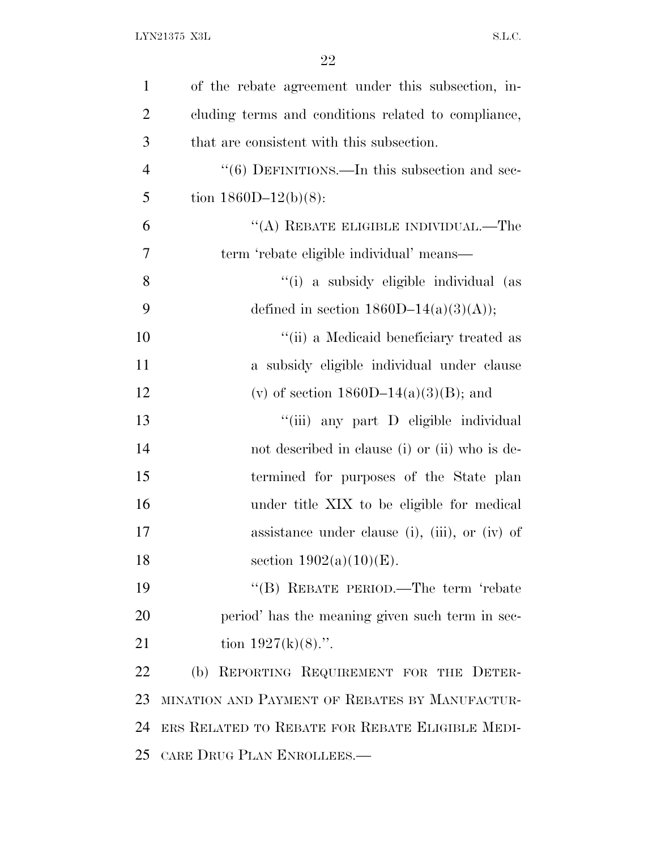| $\mathbf{1}$   | of the rebate agreement under this subsection, in-        |
|----------------|-----------------------------------------------------------|
| $\overline{2}$ | cluding terms and conditions related to compliance,       |
| 3              | that are consistent with this subsection.                 |
| 4              | $\cdot\cdot$ (6) DEFINITIONS.—In this subsection and sec- |
| 5              | tion $1860D-12(b)(8)$ :                                   |
| 6              | $\lq\lq$ (A) REBATE ELIGIBLE INDIVIDUAL.—The              |
| 7              | term 'rebate eligible individual' means—                  |
| 8              | "(i) a subsidy eligible individual (as                    |
| 9              | defined in section $1860D-14(a)(3)(A)$ ;                  |
| 10             | "(ii) a Medicaid beneficiary treated as                   |
| 11             | a subsidy eligible individual under clause                |
| 12             | (v) of section $1860D-14(a)(3)(B)$ ; and                  |
| 13             | "(iii) any part D eligible individual                     |
| 14             | not described in clause (i) or (ii) who is de-            |
| 15             | termined for purposes of the State plan                   |
| 16             | under title XIX to be eligible for medical                |
| 17             | assistance under clause (i), (iii), or (iv) of            |
| 18             | section $1902(a)(10)(E)$ .                                |
| 19             | "(B) REBATE PERIOD.—The term 'rebate                      |
| 20             | period' has the meaning given such term in sec-           |
| 21             | tion $1927(k)(8)$ .".                                     |
| 22             | (b) REPORTING REQUIREMENT FOR THE DETER-                  |
| 23             | MINATION AND PAYMENT OF REBATES BY MANUFACTUR-            |
| 24             | ERS RELATED TO REBATE FOR REBATE ELIGIBLE MEDI-           |
| 25             | CARE DRUG PLAN ENROLLEES.                                 |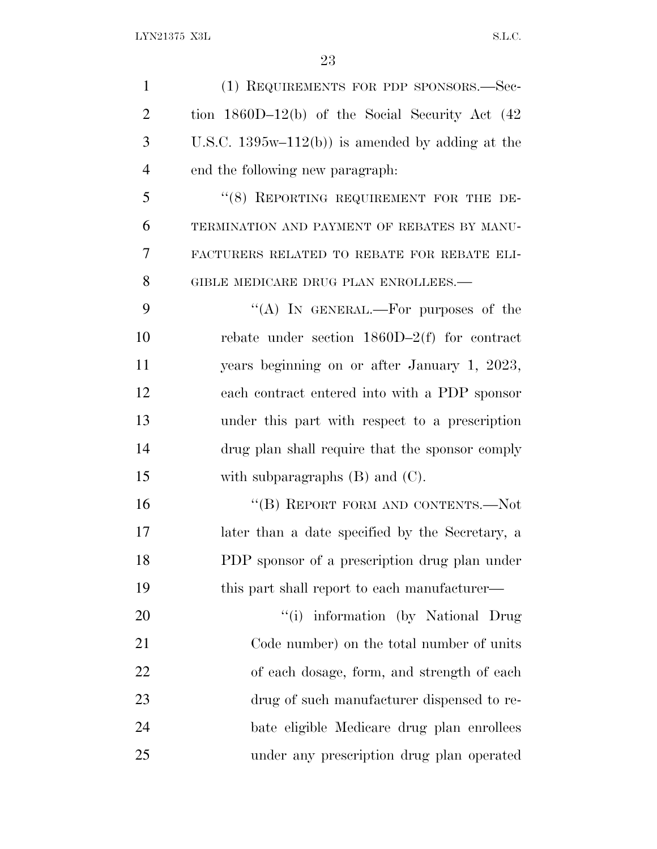| $\mathbf{1}$   | (1) REQUIREMENTS FOR PDP SPONSORS.-Sec-              |
|----------------|------------------------------------------------------|
| $\overline{2}$ | tion $1860D-12(b)$ of the Social Security Act $(42)$ |
| 3              | U.S.C. $1395w-112(b)$ is amended by adding at the    |
| $\overline{4}$ | end the following new paragraph.                     |
| 5              | "(8) REPORTING REQUIREMENT FOR THE DE-               |
| 6              | TERMINATION AND PAYMENT OF REBATES BY MANU-          |
| 7              | FACTURERS RELATED TO REBATE FOR REBATE ELI-          |
| 8              | GIBLE MEDICARE DRUG PLAN ENROLLEES.-                 |
| 9              | "(A) IN GENERAL.—For purposes of the                 |
| 10             | rebate under section $1860D-2(f)$ for contract       |
| 11             | years beginning on or after January 1, 2023,         |
| 12             | each contract entered into with a PDP sponsor        |
| 13             | under this part with respect to a prescription       |
| 14             | drug plan shall require that the sponsor comply      |
| 15             | with subparagraphs $(B)$ and $(C)$ .                 |
| 16             | "(B) REPORT FORM AND CONTENTS.—Not                   |
| 17             | later than a date specified by the Secretary, a      |
| 18             | PDP sponsor of a prescription drug plan under        |
| 19             | this part shall report to each manufacturer—         |
| 20             | "(i) information (by National Drug                   |
| 21             | Code number) on the total number of units            |
| 22             | of each dosage, form, and strength of each           |
| 23             | drug of such manufacturer dispensed to re-           |
| 24             | bate eligible Medicare drug plan enrollees           |
| 25             | under any prescription drug plan operated            |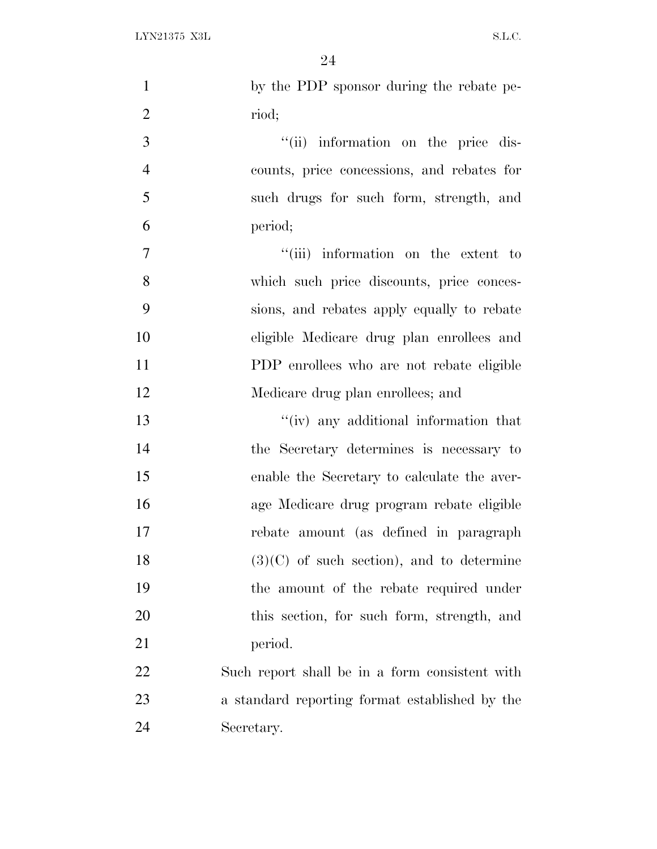| $\mathbf{1}$   | by the PDP sponsor during the rebate pe-       |
|----------------|------------------------------------------------|
| $\overline{2}$ | riod;                                          |
| 3              | "(ii) information on the price dis-            |
| $\overline{4}$ | counts, price concessions, and rebates for     |
| 5              | such drugs for such form, strength, and        |
| 6              | period;                                        |
| 7              | "(iii) information on the extent to            |
| 8              | which such price discounts, price conces-      |
| 9              | sions, and rebates apply equally to rebate     |
| 10             | eligible Medicare drug plan enrollees and      |
| 11             | PDP enrollees who are not rebate eligible      |
| 12             | Medicare drug plan enrollees; and              |
| 13             | "(iv) any additional information that          |
| 14             | the Secretary determines is necessary to       |
| 15             | enable the Secretary to calculate the aver-    |
| 16             | age Medicare drug program rebate eligible      |
| 17             | rebate amount (as defined in paragraph         |
| 18             | $(3)(C)$ of such section), and to determine    |
| 19             | the amount of the rebate required under        |
| 20             | this section, for such form, strength, and     |
| 21             | period.                                        |
| 22             | Such report shall be in a form consistent with |
| 23             | a standard reporting format established by the |
| 24             | Secretary.                                     |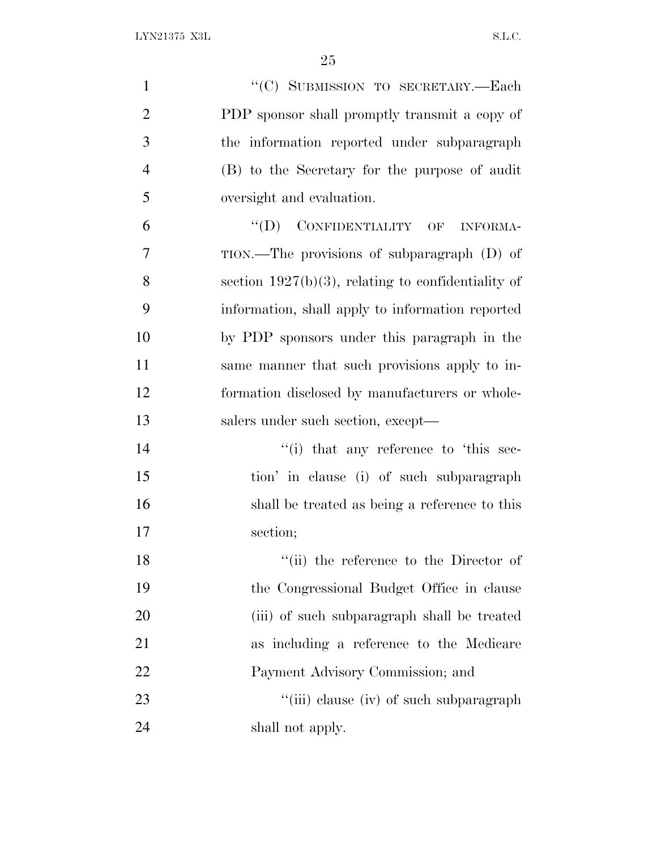| $\mathbf{1}$   | "(C) SUBMISSION TO SECRETARY.-Each                     |
|----------------|--------------------------------------------------------|
| $\overline{2}$ | PDP sponsor shall promptly transmit a copy of          |
| 3              | the information reported under subparagraph            |
| $\overline{4}$ | (B) to the Secretary for the purpose of audit          |
| 5              | oversight and evaluation.                              |
| 6              | $``(D)$ CONFIDENTIALITY OF INFORMA-                    |
| 7              | TION.—The provisions of subparagraph (D) of            |
| 8              | section $1927(b)(3)$ , relating to confidentiality of  |
| 9              | information, shall apply to information reported       |
| 10             | by PDP sponsors under this paragraph in the            |
| 11             | same manner that such provisions apply to in-          |
| 12             | formation disclosed by manufacturers or whole-         |
| 13             | salers under such section, except—                     |
| 14             | $\lq$ <sup>"(i)</sup> that any reference to 'this sec- |
| 15             | tion' in clause (i) of such subparagraph               |
| 16             | shall be treated as being a reference to this          |
| 17             | section;                                               |
| 18             | "(ii) the reference to the Director of                 |
| 19             | the Congressional Budget Office in clause              |
| 20             | (iii) of such subparagraph shall be treated            |
| 21             | as including a reference to the Medicare               |
| 22             | Payment Advisory Commission; and                       |
| 23             | "(iii) clause (iv) of such subparagraph                |
| 24             | shall not apply.                                       |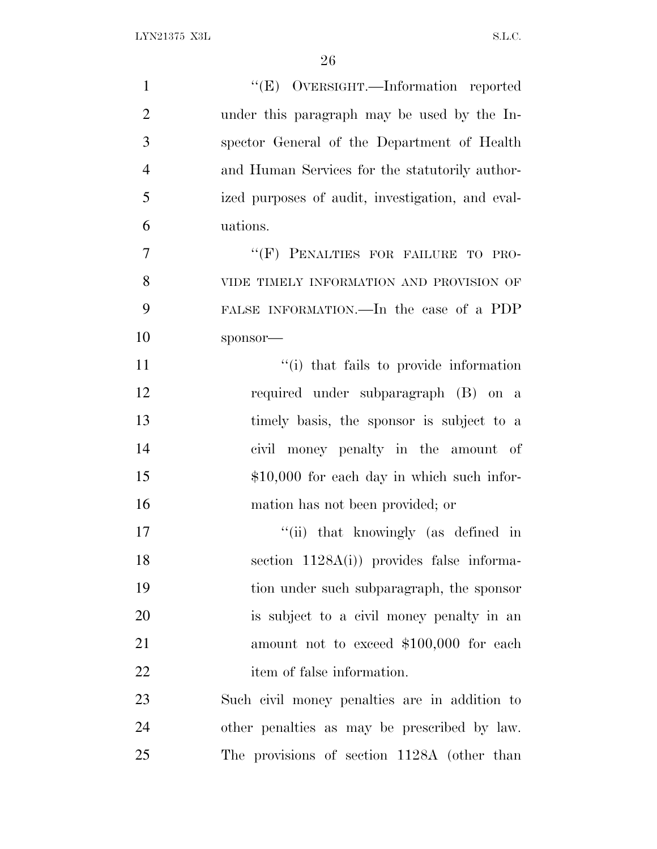| $\mathbf{1}$   | "(E) OVERSIGHT.—Information reported             |
|----------------|--------------------------------------------------|
| $\overline{2}$ | under this paragraph may be used by the In-      |
| 3              | spector General of the Department of Health      |
| $\overline{4}$ | and Human Services for the statutorily author-   |
| 5              | ized purposes of audit, investigation, and eval- |
| 6              | uations.                                         |
| 7              | "(F) PENALTIES FOR FAILURE TO PRO-               |
| 8              | VIDE TIMELY INFORMATION AND PROVISION OF         |
| 9              | FALSE INFORMATION.—In the case of a PDP          |
| 10             | sponsor-                                         |
| 11             | "(i) that fails to provide information           |
| 12             | required under subparagraph (B) on a             |
| 13             | timely basis, the sponsor is subject to a        |
| 14             | civil money penalty in the amount of             |
| 15             | $$10,000$ for each day in which such infor-      |
| 16             | mation has not been provided; or                 |
| 17             | "(ii) that knowingly (as defined in              |
| 18             | section $1128A(i)$ provides false informa-       |
| 19             | tion under such subparagraph, the sponsor        |
| 20             | is subject to a civil money penalty in an        |
| 21             | amount not to exceed \$100,000 for each          |
| 22             | item of false information.                       |
| 23             | Such civil money penalties are in addition to    |
| 24             | other penalties as may be prescribed by law.     |
| 25             | The provisions of section 1128A (other than      |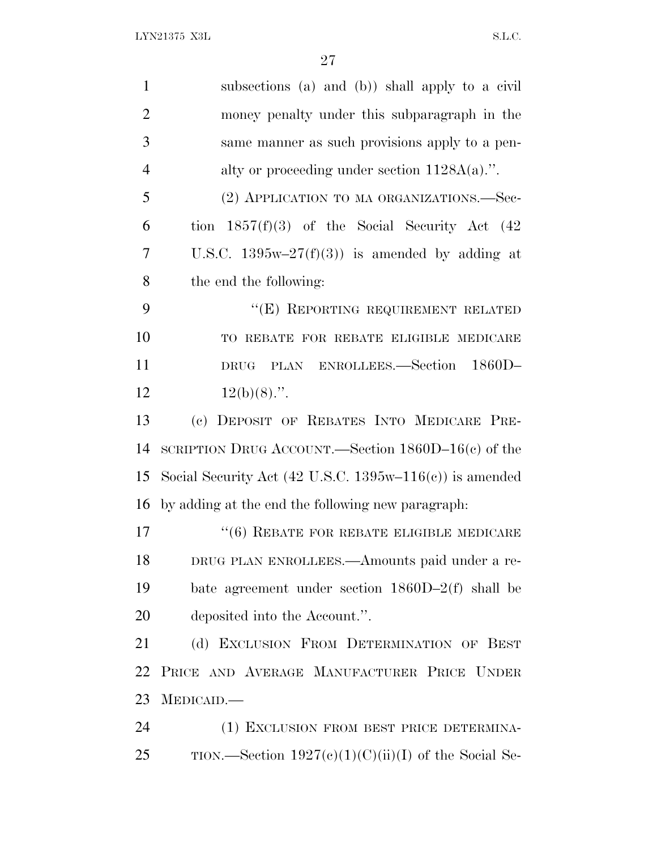| $\mathbf{1}$   | subsections (a) and (b)) shall apply to a civil                                  |
|----------------|----------------------------------------------------------------------------------|
| $\overline{2}$ | money penalty under this subparagraph in the                                     |
| 3              | same manner as such provisions apply to a pen-                                   |
| $\overline{4}$ | alty or proceeding under section $1128A(a)$ .".                                  |
| 5              | (2) APPLICATION TO MA ORGANIZATIONS.—Sec-                                        |
| 6              | tion $1857(f)(3)$ of the Social Security Act $(42)$                              |
| 7              | U.S.C. $1395w-27(f)(3)$ is amended by adding at                                  |
| 8              | the end the following:                                                           |
| 9              | "(E) REPORTING REQUIREMENT RELATED                                               |
| 10             | TO REBATE FOR REBATE ELIGIBLE MEDICARE                                           |
| 11             | PLAN ENROLLEES.—Section 1860D-<br><b>DRUG</b>                                    |
| 12             | $12(b)(8)$ .".                                                                   |
| 13             | (c) DEPOSIT OF REBATES INTO MEDICARE PRE-                                        |
| 14             | SCRIPTION DRUG ACCOUNT.—Section $1860D-16(c)$ of the                             |
| 15             | Social Security Act $(42 \text{ U.S.C. } 1395\text{w}-116(\text{c}))$ is amended |
| 16             | by adding at the end the following new paragraph.                                |
| 17             | $``(6)$ REBATE FOR REBATE ELIGIBLE MEDICARE                                      |
| 18             | DRUG PLAN ENROLLEES.—Amounts paid under a re-                                    |
| 19             | bate agreement under section $1860D-2(f)$ shall be                               |
| 20             | deposited into the Account.".                                                    |
| 21             | (d) EXCLUSION FROM DETERMINATION OF BEST                                         |
| 22             | PRICE AND AVERAGE MANUFACTURER PRICE UNDER                                       |
| 23             | MEDICAID.—                                                                       |
| 24             | (1) EXCLUSION FROM BEST PRICE DETERMINA-                                         |
| 25             | TION.—Section $1927(c)(1)(C)(ii)(I)$ of the Social Se-                           |
|                |                                                                                  |